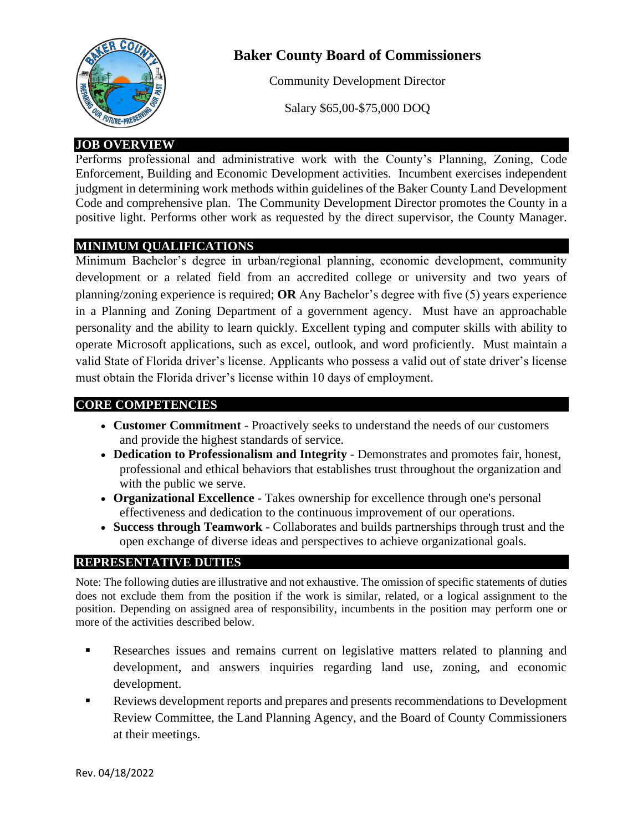

# **Baker County Board of Commissioners**

Community Development Director

Salary \$65,00-\$75,000 DOQ

### **JOB OVERVIEW**

Performs professional and administrative work with the County's Planning, Zoning, Code Enforcement, Building and Economic Development activities. Incumbent exercises independent judgment in determining work methods within guidelines of the Baker County Land Development Code and comprehensive plan. The Community Development Director promotes the County in a positive light. Performs other work as requested by the direct supervisor, the County Manager.

#### **MINIMUM QUALIFICATIONS**

Minimum Bachelor's degree in urban/regional planning, economic development, community development or a related field from an accredited college or university and two years of planning/zoning experience is required; **OR** Any Bachelor's degree with five (5) years experience in a Planning and Zoning Department of a government agency. Must have an approachable personality and the ability to learn quickly. Excellent typing and computer skills with ability to operate Microsoft applications, such as excel, outlook, and word proficiently. Must maintain a valid State of Florida driver's license. Applicants who possess a valid out of state driver's license must obtain the Florida driver's license within 10 days of employment.

#### **CORE COMPETENCIES**

- **Customer Commitment** Proactively seeks to understand the needs of our customers and provide the highest standards of service.
- **Dedication to Professionalism and Integrity** Demonstrates and promotes fair, honest, professional and ethical behaviors that establishes trust throughout the organization and with the public we serve.
- **Organizational Excellence** Takes ownership for excellence through one's personal effectiveness and dedication to the continuous improvement of our operations.
- **Success through Teamwork** Collaborates and builds partnerships through trust and the open exchange of diverse ideas and perspectives to achieve organizational goals.

#### **REPRESENTATIVE DUTIES**

Note: The following duties are illustrative and not exhaustive. The omission of specific statements of duties does not exclude them from the position if the work is similar, related, or a logical assignment to the position. Depending on assigned area of responsibility, incumbents in the position may perform one or more of the activities described below.

- **EXECUTE:** Researches issues and remains current on legislative matters related to planning and development, and answers inquiries regarding land use, zoning, and economic development.
- Reviews development reports and prepares and presents recommendations to Development Review Committee, the Land Planning Agency, and the Board of County Commissioners at their meetings.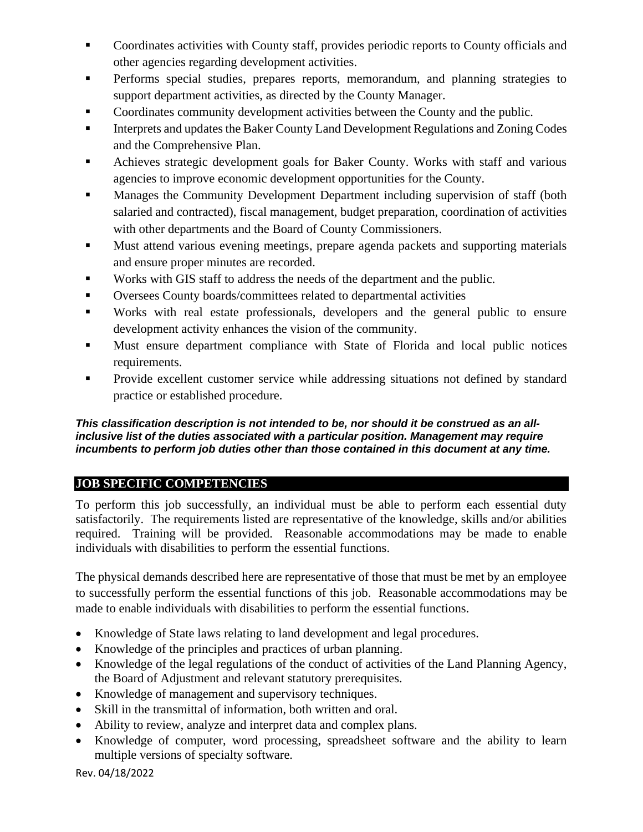- **EXECO** Coordinates activities with County staff, provides periodic reports to County officials and other agencies regarding development activities.
- Performs special studies, prepares reports, memorandum, and planning strategies to support department activities, as directed by the County Manager.
- Coordinates community development activities between the County and the public.
- **EXECUTE:** Interprets and updates the Baker County Land Development Regulations and Zoning Codes and the Comprehensive Plan.
- **EXECUTE:** Achieves strategic development goals for Baker County. Works with staff and various agencies to improve economic development opportunities for the County.
- **EXECUTE:** Manages the Community Development Department including supervision of staff (both salaried and contracted), fiscal management, budget preparation, coordination of activities with other departments and the Board of County Commissioners.
- Must attend various evening meetings, prepare agenda packets and supporting materials and ensure proper minutes are recorded.
- Works with GIS staff to address the needs of the department and the public.
- Oversees County boards/committees related to departmental activities
- Works with real estate professionals, developers and the general public to ensure development activity enhances the vision of the community.
- Must ensure department compliance with State of Florida and local public notices requirements.
- Provide excellent customer service while addressing situations not defined by standard practice or established procedure.

#### *This classification description is not intended to be, nor should it be construed as an allinclusive list of the duties associated with a particular position. Management may require incumbents to perform job duties other than those contained in this document at any time.*

## **JOB SPECIFIC COMPETENCIES**

To perform this job successfully, an individual must be able to perform each essential duty satisfactorily. The requirements listed are representative of the knowledge, skills and/or abilities required. Training will be provided. Reasonable accommodations may be made to enable individuals with disabilities to perform the essential functions.

The physical demands described here are representative of those that must be met by an employee to successfully perform the essential functions of this job. Reasonable accommodations may be made to enable individuals with disabilities to perform the essential functions.

- Knowledge of State laws relating to land development and legal procedures.
- Knowledge of the principles and practices of urban planning.
- Knowledge of the legal regulations of the conduct of activities of the Land Planning Agency, the Board of Adjustment and relevant statutory prerequisites.
- Knowledge of management and supervisory techniques.
- Skill in the transmittal of information, both written and oral.
- Ability to review, analyze and interpret data and complex plans.
- Knowledge of computer, word processing, spreadsheet software and the ability to learn multiple versions of specialty software.

Rev. 04/18/2022